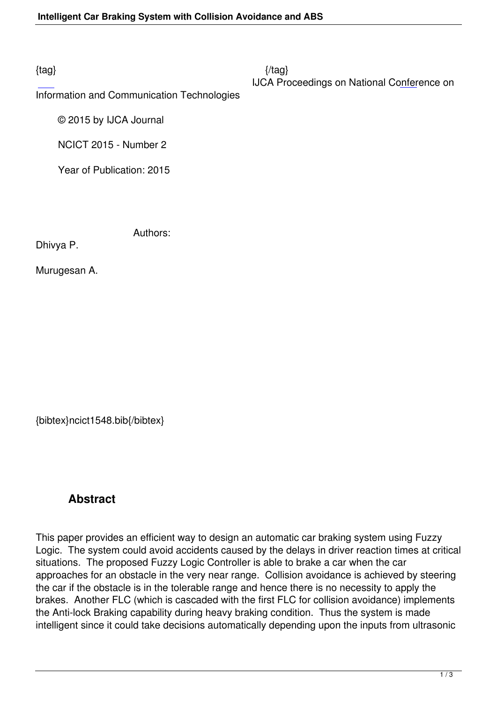Information and Communication Technologies

© 2015 by IJCA Journal

NCICT 2015 - Number 2

Year of Publication: 2015

Authors:

Dhivya P.

Murugesan A.

{bibtex}ncict1548.bib{/bibtex}

## **Abstract**

This paper provides an efficient way to design an automatic car braking system using Fuzzy Logic. The system could avoid accidents caused by the delays in driver reaction times at critical situations. The proposed Fuzzy Logic Controller is able to brake a car when the car approaches for an obstacle in the very near range. Collision avoidance is achieved by steering the car if the obstacle is in the tolerable range and hence there is no necessity to apply the brakes. Another FLC (which is cascaded with the first FLC for collision avoidance) implements the Anti-lock Braking capability during heavy braking condition. Thus the system is made intelligent since it could take decisions automatically depending upon the inputs from ultrasonic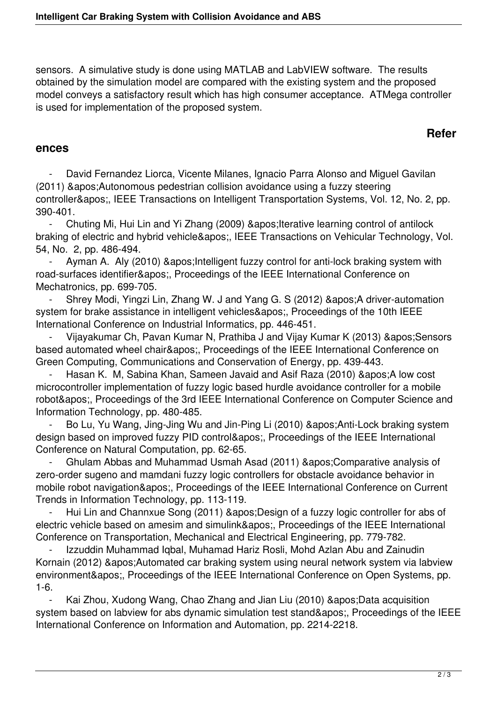sensors. A simulative study is done using MATLAB and LabVIEW software. The results obtained by the simulation model are compared with the existing system and the proposed model conveys a satisfactory result which has high consumer acceptance. ATMega controller is used for implementation of the proposed system.

## **Refer**

## **ences**

David Fernandez Liorca, Vicente Milanes, Ignacio Parra Alonso and Miguel Gavilan (2011) ' Autonomous pedestrian collision avoidance using a fuzzy steering controller', IEEE Transactions on Intelligent Transportation Systems, Vol. 12, No. 2, pp. 390-401.

Chuting Mi, Hui Lin and Yi Zhang (2009) ' Iterative learning control of antilock braking of electric and hybrid vehicle', IEEE Transactions on Vehicular Technology, Vol. 54, No. 2, pp. 486-494.

Ayman A. Aly (2010) ' Intelligent fuzzy control for anti-lock braking system with road-surfaces identifier', Proceedings of the IEEE International Conference on Mechatronics, pp. 699-705.

Shrey Modi, Yingzi Lin, Zhang W. J and Yang G. S (2012) & apos; A driver-automation system for brake assistance in intelligent vehicles', Proceedings of the 10th IEEE International Conference on Industrial Informatics, pp. 446-451.

Vijayakumar Ch, Pavan Kumar N, Prathiba J and Vijay Kumar K (2013) & apos; Sensors based automated wheel chair', Proceedings of the IEEE International Conference on Green Computing, Communications and Conservation of Energy, pp. 439-443.

Hasan K. M, Sabina Khan, Sameen Javaid and Asif Raza (2010) & apos; A low cost microcontroller implementation of fuzzy logic based hurdle avoidance controller for a mobile robot', Proceedings of the 3rd IEEE International Conference on Computer Science and Information Technology, pp. 480-485.

Bo Lu, Yu Wang, Jing-Jing Wu and Jin-Ping Li (2010) ' Anti-Lock braking system design based on improved fuzzy PID control', Proceedings of the IEEE International Conference on Natural Computation, pp. 62-65.

Ghulam Abbas and Muhammad Usmah Asad (2011) 'Comparative analysis of zero-order sugeno and mamdani fuzzy logic controllers for obstacle avoidance behavior in mobile robot navigation', Proceedings of the IEEE International Conference on Current Trends in Information Technology, pp. 113-119.

Hui Lin and Channxue Song (2011) ' Design of a fuzzy logic controller for abs of electric vehicle based on amesim and simulink', Proceedings of the IEEE International Conference on Transportation, Mechanical and Electrical Engineering, pp. 779-782.

Izzuddin Muhammad Iqbal, Muhamad Hariz Rosli, Mohd Azlan Abu and Zainudin Kornain (2012) & apos; Automated car braking system using neural network system via labview environment', Proceedings of the IEEE International Conference on Open Systems, pp. 1-6.

Kai Zhou, Xudong Wang, Chao Zhang and Jian Liu (2010) & apos; Data acquisition system based on labview for abs dynamic simulation test stand', Proceedings of the IEEE International Conference on Information and Automation, pp. 2214-2218.